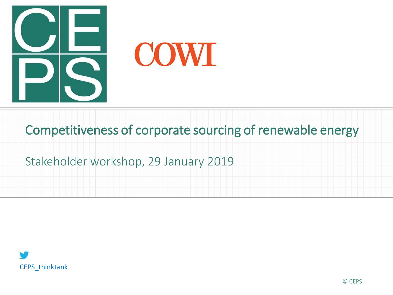

**COWI** 

Competitiveness of corporate sourcing of renewable energy

Stakeholder workshop, 29 January 2019

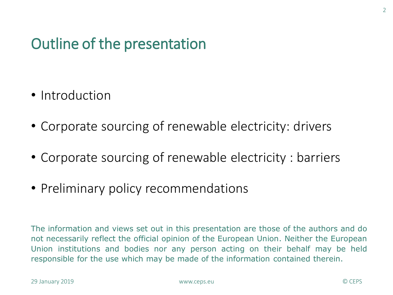#### Outline of the presentation

- Introduction
- Corporate sourcing of renewable electricity: drivers
- Corporate sourcing of renewable electricity : barriers
- Preliminary policy recommendations

The information and views set out in this presentation are those of the authors and do not necessarily reflect the official opinion of the European Union. Neither the European Union institutions and bodies nor any person acting on their behalf may be held responsible for the use which may be made of the information contained therein.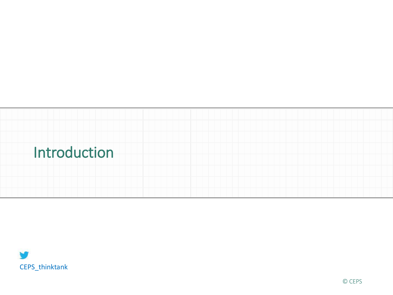

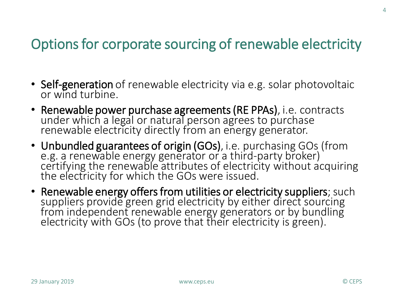#### Options for corporate sourcing of renewable electricity

- Self-generation of renewable electricity via e.g. solar photovoltaic or wind turbine.
- Renewable power purchase agreements (RE PPAs), i.e. contracts under which a legal or natural person agrees to purchase renewable electricity directly from an energy generator.
- Unbundled guarantees of origin (GOs), i.e. purchasing GOs (from e.g. a renewable energy generator or a third-party broker) certifying the renewable attributes of electricity without acquiring the electricity for which the GOs were issued.
- Renewable energy offers from utilities or electricity suppliers; such suppliers provide green grid electricity by either direct sourcing from independent renewable energy generators or by bundling electricity with GOs (to prove that their electricity is green).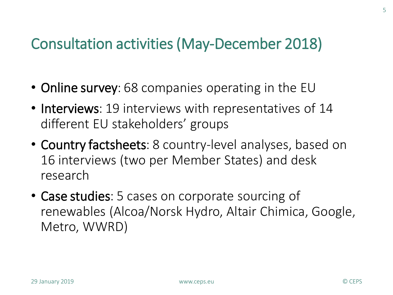#### Consultation activities (May-December 2018)

- Online survey: 68 companies operating in the EU
- Interviews: 19 interviews with representatives of 14 different EU stakeholders' groups
- Country factsheets: 8 country-level analyses, based on 16 interviews (two per Member States) and desk research
- Case studies: 5 cases on corporate sourcing of renewables (Alcoa/Norsk Hydro, Altair Chimica, Google, Metro, WWRD)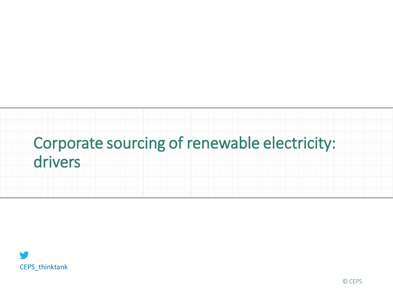# Corporate sourcing of renewable electricity: drivers

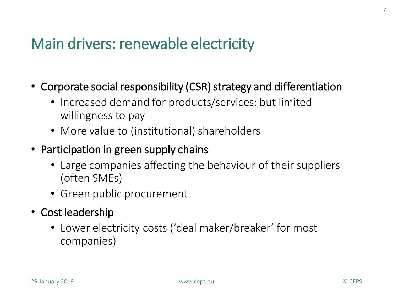#### Main drivers: renewable electricity

- Corporate social responsibility (CSR) strategy and differentiation
	- Increased demand for products/services: but limited willingness to pay
	- More value to (institutional) shareholders
- Participation in green supply chains
	- Large companies affecting the behaviour of their suppliers (often SMEs)
	- Green public procurement
- Cost leadership
	- Lower electricity costs ('deal maker/breaker' for most companies)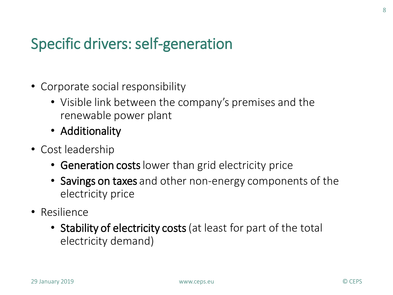#### Specific drivers: self-generation

- Corporate social responsibility
	- Visible link between the company's premises and the renewable power plant
	- Additionality
- Cost leadership
	- Generation costs lower than grid electricity price
	- Savings on taxes and other non-energy components of the electricity price
- Resilience
	- Stability of electricity costs (at least for part of the total electricity demand)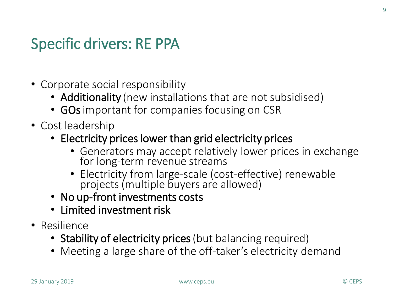#### Specific drivers: RE PPA

- Corporate social responsibility
	- Additionality (new installations that are not subsidised)
	- GOs important for companies focusing on CSR
- Cost leadership
	- Electricity prices lower than grid electricity prices
		- Generators may accept relatively lower prices in exchange for long-term revenue streams
		- Electricity from large-scale (cost-effective) renewable projects (multiple buyers are allowed)
	- No up-front investments costs
	- Limited investment risk
- Resilience
	- Stability of electricity prices (but balancing required)
	- Meeting a large share of the off-taker's electricity demand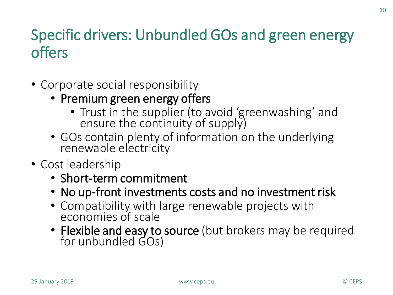#### Specific drivers: Unbundled GOs and green energy offers

- Corporate social responsibility
	- Premium green energy offers
		- Trust in the supplier (to avoid 'greenwashing' and ensure the continuity of supply)
	- GOs contain plenty of information on the underlying renewable electricity
- Cost leadership
	- Short-term commitment
	- No up-front investments costs and no investment risk
	- Compatibility with large renewable projects with economies of scale
	- Flexible and easy to source (but brokers may be required for unbundled GOs)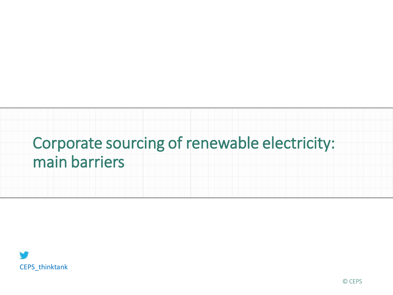## Corporate sourcing of renewable electricity: main barriers

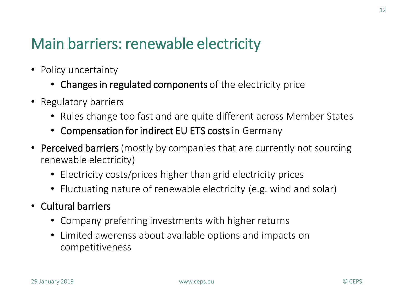#### Main barriers: renewable electricity

- Policy uncertainty
	- Changes in regulated components of the electricity price
- Regulatory barriers
	- Rules change too fast and are quite different across Member States
	- Compensation for indirect EU ETS costs in Germany
- Perceived barriers (mostly by companies that are currently not sourcing renewable electricity)
	- Electricity costs/prices higher than grid electricity prices
	- Fluctuating nature of renewable electricity (e.g. wind and solar)
- Cultural barriers
	- Company preferring investments with higher returns
	- Limited awerenss about available options and impacts on competitiveness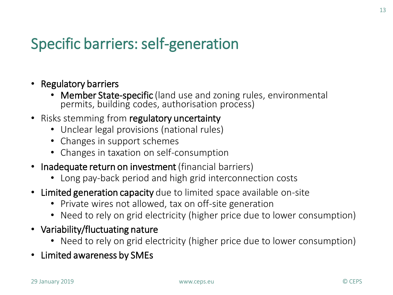### Specific barriers: self-generation

- Regulatory barriers
	- Member State-specific (land use and zoning rules, environmental permits, building codes, authorisation process)
- Risks stemming from regulatory uncertainty
	- Unclear legal provisions (national rules)
	- Changes in support schemes
	- Changes in taxation on self-consumption
- Inadequate return on investment (financial barriers)
	- Long pay-back period and high grid interconnection costs
- Limited generation capacity due to limited space available on-site
	- Private wires not allowed, tax on off-site generation
	- Need to rely on grid electricity (higher price due to lower consumption)
- Variability/fluctuating nature
	- Need to rely on grid electricity (higher price due to lower consumption)
- Limited awareness by SMEs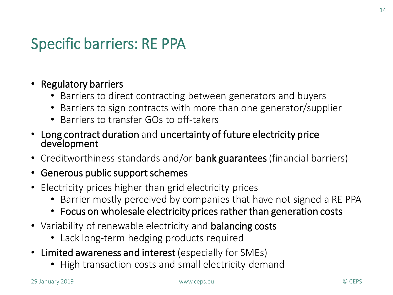#### Specific barriers: RE PPA

#### • Regulatory barriers

- Barriers to direct contracting between generators and buyers
- Barriers to sign contracts with more than one generator/supplier
- Barriers to transfer GOs to off-takers
- Long contract duration and uncertainty of future electricity price development
- Creditworthiness standards and/or bank guarantees (financial barriers)

#### • Generous public support schemes

- Electricity prices higher than grid electricity prices
	- Barrier mostly perceived by companies that have not signed a RE PPA
	- Focus on wholesale electricity prices rather than generation costs
- Variability of renewable electricity and **balancing costs** 
	- Lack long-term hedging products required
- Limited awareness and interest (especially for SMEs)
	- High transaction costs and small electricity demand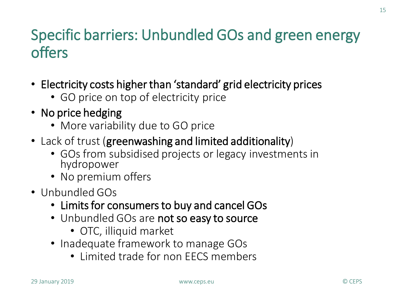#### Specific barriers: Unbundled GOs and green energy offers

- Electricity costs higher than 'standard' grid electricity prices
	- GO price on top of electricity price
- No price hedging
	- More variability due to GO price
- Lack of trust (greenwashing and limited additionality)
	- GOs from subsidised projects or legacy investments in hydropower
	- No premium offers
- Unbundled GOs
	- Limits for consumers to buy and cancel GOs
	- Unbundled GOs are not so easy to source
		- OTC, illiquid market
	- Inadequate framework to manage GOs
		- Limited trade for non EECS members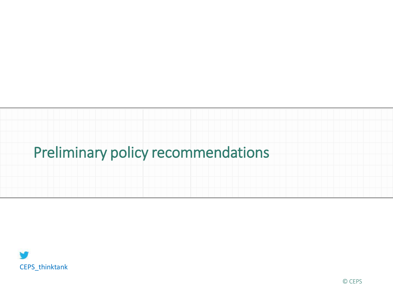# Preliminary policy recommendations

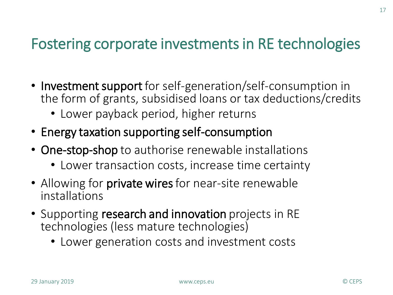#### Fostering corporate investments in RE technologies

- Investment support for self-generation/self-consumption in the form of grants, subsidised loans or tax deductions/credits
	- Lower payback period, higher returns
- Energy taxation supporting self-consumption
- One-stop-shop to authorise renewable installations
	- Lower transaction costs, increase time certainty
- Allowing for **private wires** for near-site renewable installations
- Supporting research and innovation projects in RE technologies (less mature technologies)
	- Lower generation costs and investment costs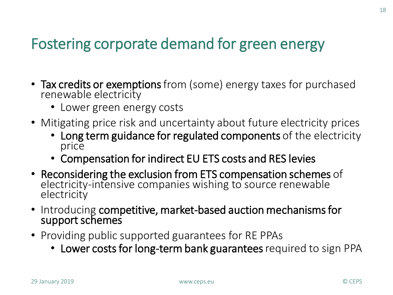### Fostering corporate demand for green energy

- Tax credits or exemptions from (some) energy taxes for purchased renewable electricity
	- Lower green energy costs
- Mitigating price risk and uncertainty about future electricity prices
	- Long term guidance for regulated components of the electricity price
	- Compensation for indirect EU ETS costs and RES levies
- Reconsidering the exclusion from ETS compensation schemes of electricity-intensive companies wishing to source renewable electricity
- Introducing competitive, market-based auction mechanisms for support schemes
- Providing public supported guarantees for RE PPAs
	- Lower costs for long-term bank guarantees required to sign PPA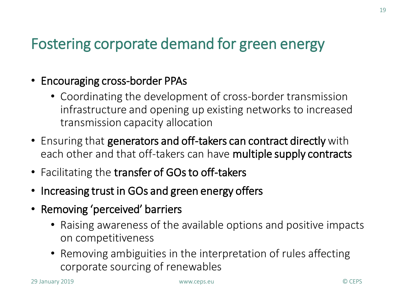#### Fostering corporate demand for green energy

- Encouraging cross-border PPAs
	- Coordinating the development of cross-border transmission infrastructure and opening up existing networks to increased transmission capacity allocation
- Ensuring that generators and off-takers can contract directly with each other and that off-takers can have multiple supply contracts
- Facilitating the transfer of GOs to off-takers
- Increasing trust in GOs and green energy offers
- Removing 'perceived' barriers
	- Raising awareness of the available options and positive impacts on competitiveness
	- Removing ambiguities in the interpretation of rules affecting corporate sourcing of renewables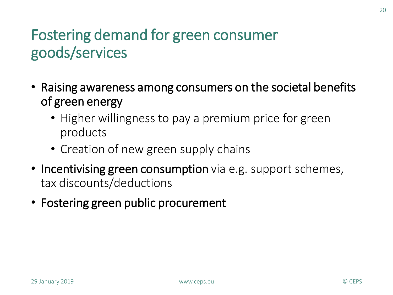### Fostering demand for green consumer goods/services

- Raising awareness among consumers on the societal benefits of green energy
	- Higher willingness to pay a premium price for green products
	- Creation of new green supply chains
- Incentivising green consumption via e.g. support schemes, tax discounts/deductions
- Fostering green public procurement